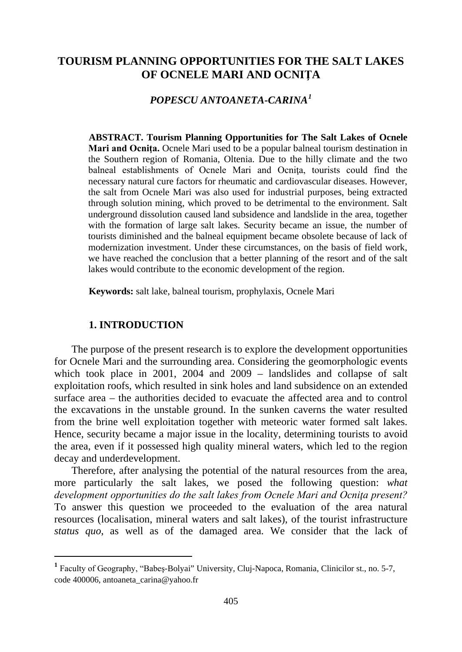# **TOURISM PLANNING OPPORTUNITIES FOR THE SALT LAKES OF OCNELE MARI AND OCNIŢA**

# *POPESCU ANTOANETA-CARINA[1](#page-0-0)*

**ABSTRACT. Tourism Planning Opportunities for The Salt Lakes of Ocnele Mari and Ocniţa.** Ocnele Mari used to be a popular balneal tourism destination in the Southern region of Romania, Oltenia. Due to the hilly climate and the two balneal establishments of Ocnele Mari and Ocnita, tourists could find the necessary natural cure factors for rheumatic and cardiovascular diseases. However, the salt from Ocnele Mari was also used for industrial purposes, being extracted through solution mining, which proved to be detrimental to the environment. Salt underground dissolution caused land subsidence and landslide in the area, together with the formation of large salt lakes. Security became an issue, the number of tourists diminished and the balneal equipment became obsolete because of lack of modernization investment. Under these circumstances, on the basis of field work, we have reached the conclusion that a better planning of the resort and of the salt lakes would contribute to the economic development of the region.

**Keywords:** salt lake, balneal tourism, prophylaxis, Ocnele Mari

#### **1. INTRODUCTION**

The purpose of the present research is to explore the development opportunities for Ocnele Mari and the surrounding area. Considering the geomorphologic events which took place in 2001, 2004 and 2009 – landslides and collapse of salt exploitation roofs, which resulted in sink holes and land subsidence on an extended surface area – the authorities decided to evacuate the affected area and to control the excavations in the unstable ground. In the sunken caverns the water resulted from the brine well exploitation together with meteoric water formed salt lakes. Hence, security became a major issue in the locality, determining tourists to avoid the area, even if it possessed high quality mineral waters, which led to the region decay and underdevelopment.

Therefore, after analysing the potential of the natural resources from the area, more particularly the salt lakes, we posed the following question: *what development opportunities do the salt lakes from Ocnele Mari and Ocniţa present?* To answer this question we proceeded to the evaluation of the area natural resources (localisation, mineral waters and salt lakes), of the tourist infrastructure *status quo*, as well as of the damaged area. We consider that the lack of

<span id="page-0-0"></span> **<sup>1</sup>** Faculty of Geography, "Babeş-Bolyai" University, Cluj-Napoca, Romania, Clinicilor st., no. 5-7, code 400006, antoaneta\_carina@yahoo.fr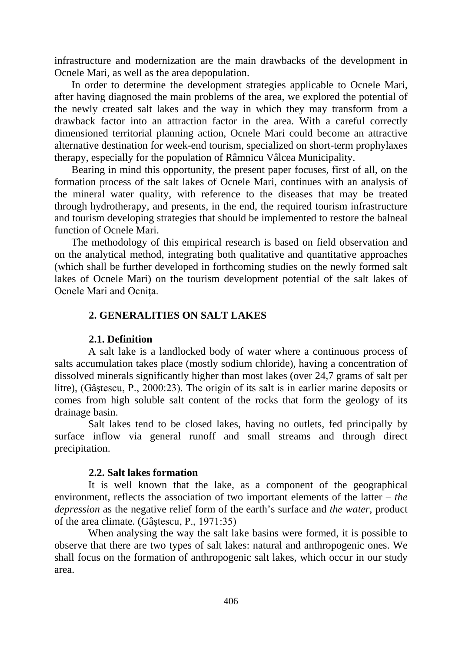infrastructure and modernization are the main drawbacks of the development in Ocnele Mari, as well as the area depopulation.

In order to determine the development strategies applicable to Ocnele Mari, after having diagnosed the main problems of the area, we explored the potential of the newly created salt lakes and the way in which they may transform from a drawback factor into an attraction factor in the area. With a careful correctly dimensioned territorial planning action, Ocnele Mari could become an attractive alternative destination for week-end tourism, specialized on short-term prophylaxes therapy, especially for the population of Râmnicu Vâlcea Municipality.

Bearing in mind this opportunity, the present paper focuses, first of all, on the formation process of the salt lakes of Ocnele Mari, continues with an analysis of the mineral water quality, with reference to the diseases that may be treated through hydrotherapy, and presents, in the end, the required tourism infrastructure and tourism developing strategies that should be implemented to restore the balneal function of Ocnele Mari.

The methodology of this empirical research is based on field observation and on the analytical method, integrating both qualitative and quantitative approaches (which shall be further developed in forthcoming studies on the newly formed salt lakes of Ocnele Mari) on the tourism development potential of the salt lakes of Ocnele Mari and Ocniţa.

### **2. GENERALITIES ON SALT LAKES**

## **2.1. Definition**

A salt lake is a landlocked body of [water](http://en.wikipedia.org/wiki/Water) where a continuous process of salts accumulation takes place (mostly [sodium chloride\)](http://en.wikipedia.org/wiki/Sodium_chloride), having a concentration of dissolved minerals significantly higher than most [lakes](http://en.wikipedia.org/wiki/Lake) (over 24,7 [grams](http://en.wikipedia.org/wiki/Gram) of salt per litre), (Gâştescu, P., 2000:23). The origin of its salt is in earlier marine deposits or comes from high soluble salt content of the rocks that form the geology of its drainage basin.

Salt lakes tend to be closed lakes, having no outlets, fed principally by surface inflow via general runoff and small streams and through direct precipitation.

#### **2.2. Salt lakes formation**

It is well known that the lake, as a component of the geographical environment, reflects the association of two important elements of the latter – *the depression* as the negative relief form of the earth's surface and *the water*, product of the area climate. (Gâştescu, P., 1971:35)

When analysing the way the salt lake basins were formed, it is possible to observe that there are two types of salt lakes: natural and anthropogenic ones. We shall focus on the formation of anthropogenic salt lakes, which occur in our study area.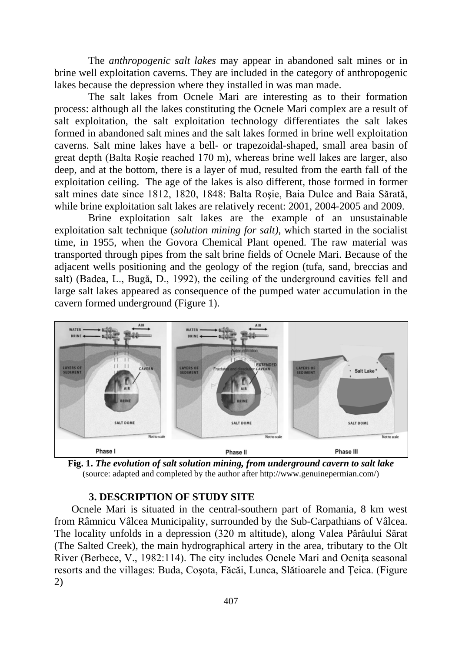The *anthropogenic salt lakes* may appear in abandoned salt mines or in brine well exploitation caverns. They are included in the category of anthropogenic lakes because the depression where they installed in was man made.

The salt lakes from Ocnele Mari are interesting as to their formation process: although all the lakes constituting the Ocnele Mari complex are a result of salt exploitation, the salt exploitation technology differentiates the salt lakes formed in abandoned salt mines and the salt lakes formed in brine well exploitation caverns. Salt mine lakes have a bell- or trapezoidal-shaped, small area basin of great depth (Balta Roşie reached 170 m), whereas brine well lakes are larger, also deep, and at the bottom, there is a layer of mud, resulted from the earth fall of the exploitation ceiling. The age of the lakes is also different, those formed in former salt mines date since 1812, 1820, 1848: Balta Roşie, Baia Dulce and Baia Sărată, while brine exploitation salt lakes are relatively recent: 2001, 2004-2005 and 2009.

Brine exploitation salt lakes are the example of an unsustainable exploitation salt technique (*solution mining for salt)*, which started in the socialist time, in 1955, when the Govora Chemical Plant opened. The raw material was transported through pipes from the salt brine fields of Ocnele Mari. Because of the adjacent wells positioning and the geology of the region (tufa, sand, breccias and salt) (Badea, L., Bugă, D., 1992), the ceiling of the underground cavities fell and large salt lakes appeared as consequence of the pumped water accumulation in the cavern formed underground (Figure 1).



**Fig. 1.** *The evolution of salt solution mining, from underground cavern to salt lake* (source: adapted and completed by the author after http://www.genuinepermian.com/)

### **3. DESCRIPTION OF STUDY SITE**

Ocnele Mari is situated in the central-southern part of Romania, 8 km west from Râmnicu Vâlcea Municipality, surrounded by the Sub-Carpathians of Vâlcea. The locality unfolds in a depression (320 m altitude), along Valea Pârâului Sărat (The Salted Creek), the main hydrographical artery in the area, tributary to the Olt River (Berbece, V., 1982:114). The city includes Ocnele Mari and Ocnita seasonal resorts and the villages: Buda, Coşota, Făcăi, Lunca, Slătioarele and Ţeica. (Figure 2)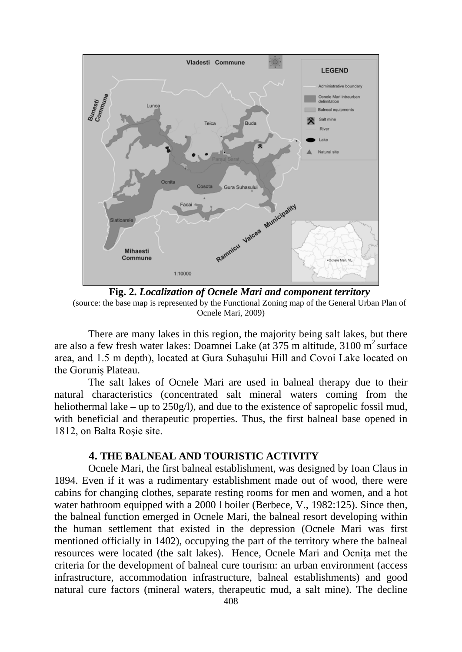

**Fig. 2.** *Localization of Ocnele Mari and component territory* (source: the base map is represented by the Functional Zoning map of the General Urban Plan of Ocnele Mari, 2009)

There are many lakes in this region, the majority being salt lakes, but there are also a few fresh water lakes: Doamnei Lake (at  $375$  m altitude,  $3100 \text{ m}^2$  surface area, and 1.5 m depth), located at Gura Suhaşului Hill and Covoi Lake located on the Goruniş Plateau.

The salt lakes of Ocnele Mari are used in balneal therapy due to their natural characteristics (concentrated salt mineral waters coming from the heliothermal lake – up to 250g/l), and due to the existence of sapropelic fossil mud, with beneficial and therapeutic properties. Thus, the first balneal base opened in 1812, on Balta Roşie site.

# **4. THE BALNEAL AND TOURISTIC ACTIVITY**

Ocnele Mari, the first balneal establishment, was designed by Ioan Claus in 1894. Even if it was a rudimentary establishment made out of wood, there were cabins for changing clothes, separate resting rooms for men and women, and a hot water bathroom equipped with a 2000 l boiler (Berbece, V., 1982:125). Since then, the balneal function emerged in Ocnele Mari, the balneal resort developing within the human settlement that existed in the depression (Ocnele Mari was first mentioned officially in 1402), occupying the part of the territory where the balneal resources were located (the salt lakes). Hence, Ocnele Mari and Ocnita met the criteria for the development of balneal cure tourism: an urban environment (access infrastructure, accommodation infrastructure, balneal establishments) and good natural cure factors (mineral waters, therapeutic mud, a salt mine). The decline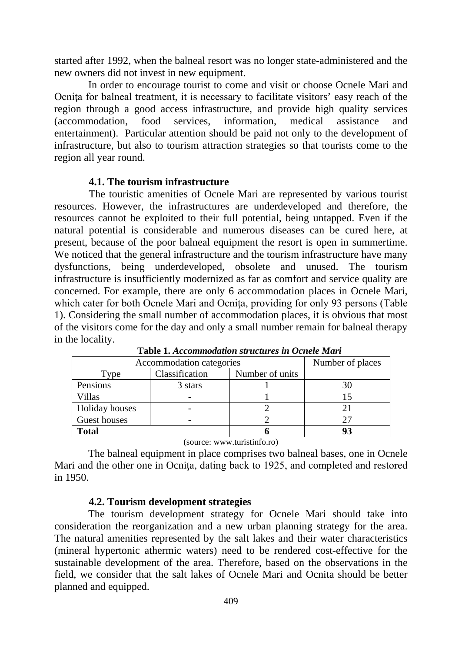started after 1992, when the balneal resort was no longer state-administered and the new owners did not invest in new equipment.

In order to encourage tourist to come and visit or choose Ocnele Mari and Ocnita for balneal treatment, it is necessary to facilitate visitors' easy reach of the region through a good access infrastructure, and provide high quality services (accommodation, food services, information, medical assistance and entertainment). Particular attention should be paid not only to the development of infrastructure, but also to tourism attraction strategies so that tourists come to the region all year round.

## **4.1. The tourism infrastructure**

The touristic amenities of Ocnele Mari are represented by various tourist resources. However, the infrastructures are underdeveloped and therefore, the resources cannot be exploited to their full potential, being untapped. Even if the natural potential is considerable and numerous diseases can be cured here, at present, because of the poor balneal equipment the resort is open in summertime. We noticed that the general infrastructure and the tourism infrastructure have many dysfunctions, being underdeveloped, obsolete and unused. The tourism infrastructure is insufficiently modernized as far as comfort and service quality are concerned. For example, there are only 6 accommodation places in Ocnele Mari, which cater for both Ocnele Mari and Ocnita, providing for only 93 persons (Table 1). Considering the small number of accommodation places, it is obvious that most of the visitors come for the day and only a small number remain for balneal therapy in the locality.

| Accommodation categories |                |                 | Number of places |
|--------------------------|----------------|-----------------|------------------|
| Type                     | Classification | Number of units |                  |
| Pensions                 | 3 stars        |                 | 30               |
| Villas                   |                |                 |                  |
| Holiday houses           |                |                 | 21               |
| Guest houses             |                |                 |                  |
| Total                    |                |                 |                  |

**Table 1.** *Accommodation structures in Ocnele Mari*

(source: www.turistinfo.ro)

The balneal equipment in place comprises two balneal bases, one in Ocnele Mari and the other one in Ocnita, dating back to 1925, and completed and restored in 1950.

### **4.2. Tourism development strategies**

The tourism development strategy for Ocnele Mari should take into consideration the reorganization and a new urban planning strategy for the area. The natural amenities represented by the salt lakes and their water characteristics (mineral hypertonic athermic waters) need to be rendered cost-effective for the sustainable development of the area. Therefore, based on the observations in the field, we consider that the salt lakes of Ocnele Mari and Ocnita should be better planned and equipped.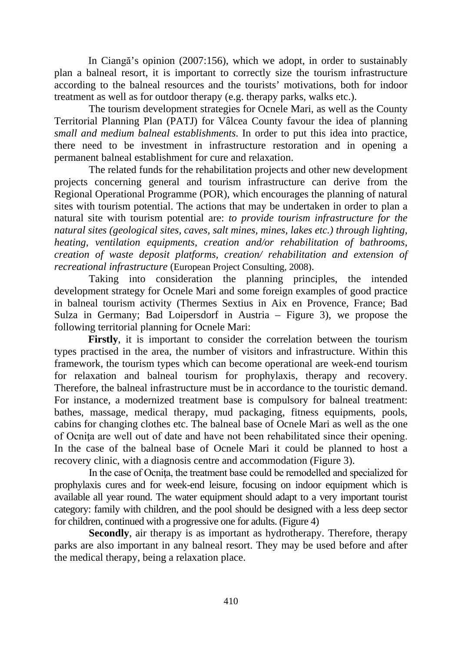In Ciangă's opinion (2007:156), which we adopt, in order to sustainably plan a balneal resort, it is important to correctly size the tourism infrastructure according to the balneal resources and the tourists' motivations, both for indoor treatment as well as for outdoor therapy (e.g. therapy parks, walks etc.).

The tourism development strategies for Ocnele Mari, as well as the County Territorial Planning Plan (PATJ) for Vâlcea County favour the idea of planning *small and medium balneal establishments*. In order to put this idea into practice, there need to be investment in infrastructure restoration and in opening a permanent balneal establishment for cure and relaxation.

The related funds for the rehabilitation projects and other new development projects concerning general and tourism infrastructure can derive from the Regional Operational Programme (POR), which encourages the planning of natural sites with tourism potential. The actions that may be undertaken in order to plan a natural site with tourism potential are: *to provide tourism infrastructure for the natural sites (geological sites, caves, salt mines, mines, lakes etc.) through lighting, heating, ventilation equipments, creation and/or rehabilitation of bathrooms, creation of waste deposit platforms, creation/ rehabilitation and extension of recreational infrastructure* (European Project Consulting, 2008).

Taking into consideration the planning principles, the intended development strategy for Ocnele Mari and some foreign examples of good practice in balneal tourism activity (Thermes Sextius in Aix en Provence, France; Bad Sulza in Germany; Bad Loipersdorf in Austria – Figure 3), we propose the following territorial planning for Ocnele Mari:

**Firstly**, it is important to consider the correlation between the tourism types practised in the area, the number of visitors and infrastructure. Within this framework, the tourism types which can become operational are week-end tourism for relaxation and balneal tourism for prophylaxis, therapy and recovery. Therefore, the balneal infrastructure must be in accordance to the touristic demand. For instance, a modernized treatment base is compulsory for balneal treatment: bathes, massage, medical therapy, mud packaging, fitness equipments, pools, cabins for changing clothes etc. The balneal base of Ocnele Mari as well as the one of Ocnita are well out of date and have not been rehabilitated since their opening. In the case of the balneal base of Ocnele Mari it could be planned to host a recovery clinic, with a diagnosis centre and accommodation (Figure 3).

In the case of Ocnita, the treatment base could be remodelled and specialized for prophylaxis cures and for week-end leisure, focusing on indoor equipment which is available all year round. The water equipment should adapt to a very important tourist category: family with children, and the pool should be designed with a less deep sector for children, continued with a progressive one for adults. (Figure 4)

**Secondly**, air therapy is as important as hydrotherapy. Therefore, therapy parks are also important in any balneal resort. They may be used before and after the medical therapy, being a relaxation place.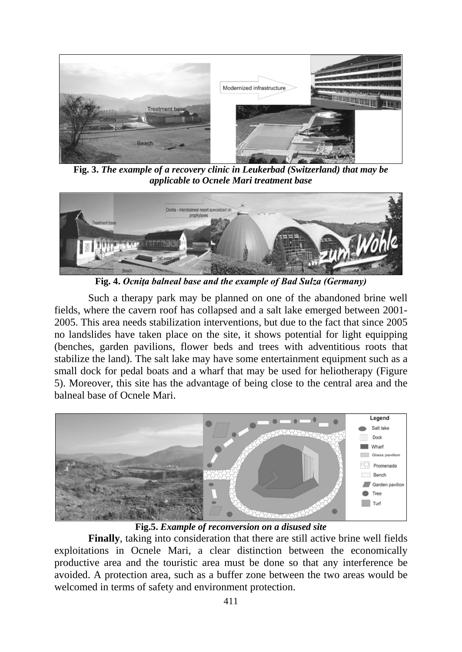

**Fig. 3.** *The example of a recovery clinic in Leukerbad (Switzerland) that may be applicable to Ocnele Mari treatment base*



**Fig. 4.** *Ocniţa balneal base and the example of Bad Sulza (Germany)*

Such a therapy park may be planned on one of the abandoned brine well fields, where the cavern roof has collapsed and a salt lake emerged between 2001- 2005. This area needs stabilization interventions, but due to the fact that since 2005 no landslides have taken place on the site, it shows potential for light equipping (benches, garden pavilions, flower beds and trees with adventitious roots that stabilize the land). The salt lake may have some entertainment equipment such as a small dock for pedal boats and a wharf that may be used for heliotherapy (Figure 5). Moreover, this site has the advantage of being close to the central area and the balneal base of Ocnele Mari.



**Fig.5.** *Example of reconversion on a disused site*

**Finally**, taking into consideration that there are still active brine well fields exploitations in Ocnele Mari, a clear distinction between the economically productive area and the touristic area must be done so that any interference be avoided. A protection area, such as a buffer zone between the two areas would be welcomed in terms of safety and environment protection.